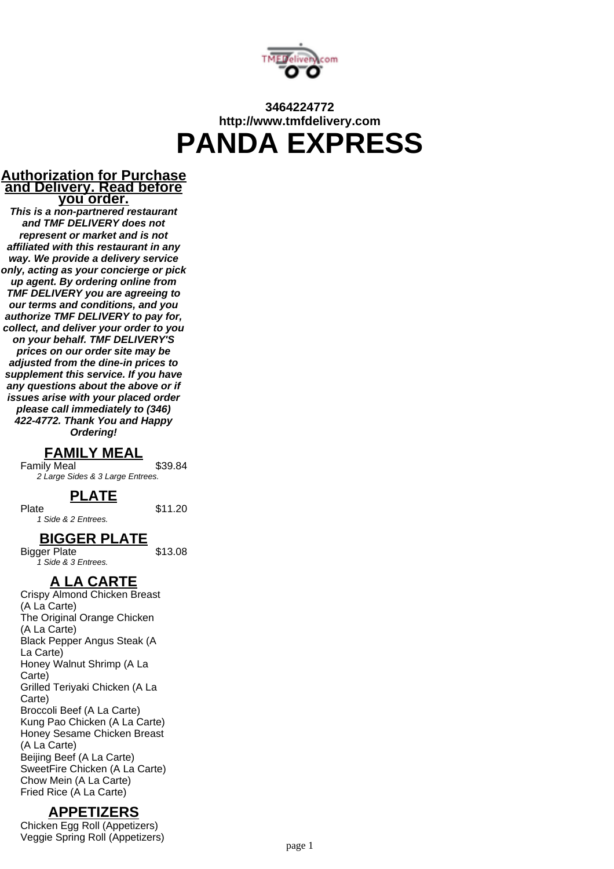

# **3464224772 http://www.tmfdelivery.com PANDA EXPRESS**

#### **Authorization for Purchase and Delivery. Read before you order.**

**This is a non-partnered restaurant and TMF DELIVERY does not represent or market and is not affiliated with this restaurant in any way. We provide a delivery service only, acting as your concierge or pick up agent. By ordering online from TMF DELIVERY you are agreeing to our terms and conditions, and you authorize TMF DELIVERY to pay for, collect, and deliver your order to you on your behalf. TMF DELIVERY'S prices on our order site may be adjusted from the dine-in prices to supplement this service. If you have any questions about the above or if issues arise with your placed order please call immediately to (346) 422-4772. Thank You and Happy Ordering!**

### **FAMILY MEAL**

Family Meal \$39.84 2 Large Sides & 3 Large Entrees.

## **PLATE**

Plate \$11.20 1 Side & 2 Entrees.

## **BIGGER PLATE**

Bigger Plate \$13.08 1 Side & 3 Entrees.

### **A LA CARTE**

Crispy Almond Chicken Breast (A La Carte) The Original Orange Chicken (A La Carte) Black Pepper Angus Steak (A La Carte) Honey Walnut Shrimp (A La Carte) Grilled Teriyaki Chicken (A La Carte) Broccoli Beef (A La Carte) Kung Pao Chicken (A La Carte) Honey Sesame Chicken Breast (A La Carte) Beijing Beef (A La Carte) SweetFire Chicken (A La Carte) Chow Mein (A La Carte) Fried Rice (A La Carte)

### **APPETIZERS**

Chicken Egg Roll (Appetizers) Veggie Spring Roll (Appetizers)